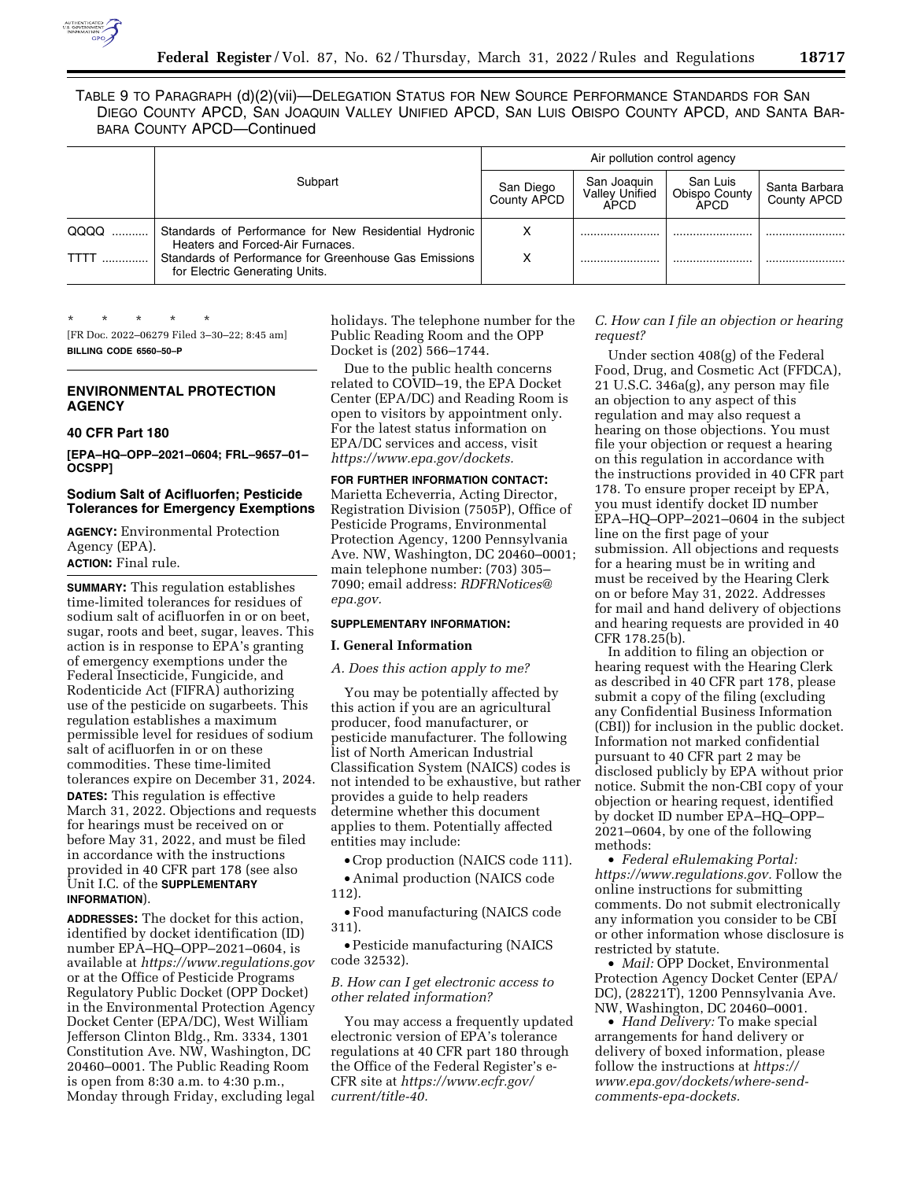

TABLE 9 TO PARAGRAPH (d)(2)(vii)—DELEGATION STATUS FOR NEW SOURCE PERFORMANCE STANDARDS FOR SAN DIEGO COUNTY APCD, SAN JOAQUIN VALLEY UNIFIED APCD, SAN LUIS OBISPO COUNTY APCD, AND SANTA BAR-BARA COUNTY APCD—Continued

|             |                                                                                           | Air pollution control agency |                                              |                                          |                              |  |
|-------------|-------------------------------------------------------------------------------------------|------------------------------|----------------------------------------------|------------------------------------------|------------------------------|--|
|             | Subpart                                                                                   | San Diego<br>County APCD     | San Joaquin<br><b>Valley Unified</b><br>APCD | San Luis<br>Obispo County<br><b>APCD</b> | Santa Barbara<br>County APCD |  |
| QQQQ        | Standards of Performance for New Residential Hydronic<br>Heaters and Forced-Air Furnaces. | х                            |                                              |                                          |                              |  |
| <b>TTTT</b> | Standards of Performance for Greenhouse Gas Emissions<br>for Electric Generating Units.   | χ                            |                                              |                                          |                              |  |

\* \* \* \* \* [FR Doc. 2022–06279 Filed 3–30–22; 8:45 am]

**BILLING CODE 6560–50–P** 

# **ENVIRONMENTAL PROTECTION AGENCY**

## **40 CFR Part 180**

**[EPA–HQ–OPP–2021–0604; FRL–9657–01– OCSPP]** 

# **Sodium Salt of Acifluorfen; Pesticide Tolerances for Emergency Exemptions**

**AGENCY:** Environmental Protection Agency (EPA). **ACTION:** Final rule.

**SUMMARY:** This regulation establishes time-limited tolerances for residues of sodium salt of acifluorfen in or on beet, sugar, roots and beet, sugar, leaves. This action is in response to EPA's granting of emergency exemptions under the Federal Insecticide, Fungicide, and Rodenticide Act (FIFRA) authorizing use of the pesticide on sugarbeets. This regulation establishes a maximum permissible level for residues of sodium salt of acifluorfen in or on these commodities. These time-limited tolerances expire on December 31, 2024. **DATES:** This regulation is effective March 31, 2022. Objections and requests for hearings must be received on or before May 31, 2022, and must be filed in accordance with the instructions provided in 40 CFR part 178 (see also Unit I.C. of the **SUPPLEMENTARY INFORMATION**).

**ADDRESSES:** The docket for this action, identified by docket identification (ID) number EPA–HQ–OPP–2021–0604, is available at *<https://www.regulations.gov>* or at the Office of Pesticide Programs Regulatory Public Docket (OPP Docket) in the Environmental Protection Agency Docket Center (EPA/DC), West William Jefferson Clinton Bldg., Rm. 3334, 1301 Constitution Ave. NW, Washington, DC 20460–0001. The Public Reading Room is open from 8:30 a.m. to 4:30 p.m., Monday through Friday, excluding legal holidays. The telephone number for the Public Reading Room and the OPP Docket is (202) 566–1744.

Due to the public health concerns related to COVID–19, the EPA Docket Center (EPA/DC) and Reading Room is open to visitors by appointment only. For the latest status information on EPA/DC services and access, visit *[https://www.epa.gov/dockets.](https://www.epa.gov/dockets)* 

#### **FOR FURTHER INFORMATION CONTACT:**

Marietta Echeverria, Acting Director, Registration Division (7505P), Office of Pesticide Programs, Environmental Protection Agency, 1200 Pennsylvania Ave. NW, Washington, DC 20460–0001; main telephone number: (703) 305– 7090; email address: *[RDFRNotices@](mailto:RDFRNotices@epa.gov) [epa.gov.](mailto:RDFRNotices@epa.gov)* 

# **SUPPLEMENTARY INFORMATION:**

# **I. General Information**

# *A. Does this action apply to me?*

You may be potentially affected by this action if you are an agricultural producer, food manufacturer, or pesticide manufacturer. The following list of North American Industrial Classification System (NAICS) codes is not intended to be exhaustive, but rather provides a guide to help readers determine whether this document applies to them. Potentially affected entities may include:

• Crop production (NAICS code 111).

• Animal production (NAICS code 112).

• Food manufacturing (NAICS code 311).

• Pesticide manufacturing (NAICS code 32532).

# *B. How can I get electronic access to other related information?*

You may access a frequently updated electronic version of EPA's tolerance regulations at 40 CFR part 180 through the Office of the Federal Register's e-CFR site at *[https://www.ecfr.gov/](https://www.ecfr.gov/current/title-40) [current/title-40.](https://www.ecfr.gov/current/title-40)* 

# *C. How can I file an objection or hearing request?*

Under section 408(g) of the Federal Food, Drug, and Cosmetic Act (FFDCA), 21 U.S.C. 346a(g), any person may file an objection to any aspect of this regulation and may also request a hearing on those objections. You must file your objection or request a hearing on this regulation in accordance with the instructions provided in 40 CFR part 178. To ensure proper receipt by EPA, you must identify docket ID number EPA–HQ–OPP–2021–0604 in the subject line on the first page of your submission. All objections and requests for a hearing must be in writing and must be received by the Hearing Clerk on or before May 31, 2022. Addresses for mail and hand delivery of objections and hearing requests are provided in 40 CFR 178.25(b).

In addition to filing an objection or hearing request with the Hearing Clerk as described in 40 CFR part 178, please submit a copy of the filing (excluding any Confidential Business Information (CBI)) for inclusion in the public docket. Information not marked confidential pursuant to 40 CFR part 2 may be disclosed publicly by EPA without prior notice. Submit the non-CBI copy of your objection or hearing request, identified by docket ID number EPA–HQ–OPP– 2021–0604, by one of the following methods:

• *Federal eRulemaking Portal: [https://www.regulations.gov.](https://www.regulations.gov)* Follow the online instructions for submitting comments. Do not submit electronically any information you consider to be CBI or other information whose disclosure is restricted by statute.

• *Mail:* OPP Docket, Environmental Protection Agency Docket Center (EPA/ DC), (28221T), 1200 Pennsylvania Ave. NW, Washington, DC 20460–0001.

• *Hand Delivery:* To make special arrangements for hand delivery or delivery of boxed information, please follow the instructions at *[https://](https://www.epa.gov/dockets/where-send-comments-epa-dockets) [www.epa.gov/dockets/where-send](https://www.epa.gov/dockets/where-send-comments-epa-dockets)[comments-epa-dockets.](https://www.epa.gov/dockets/where-send-comments-epa-dockets)*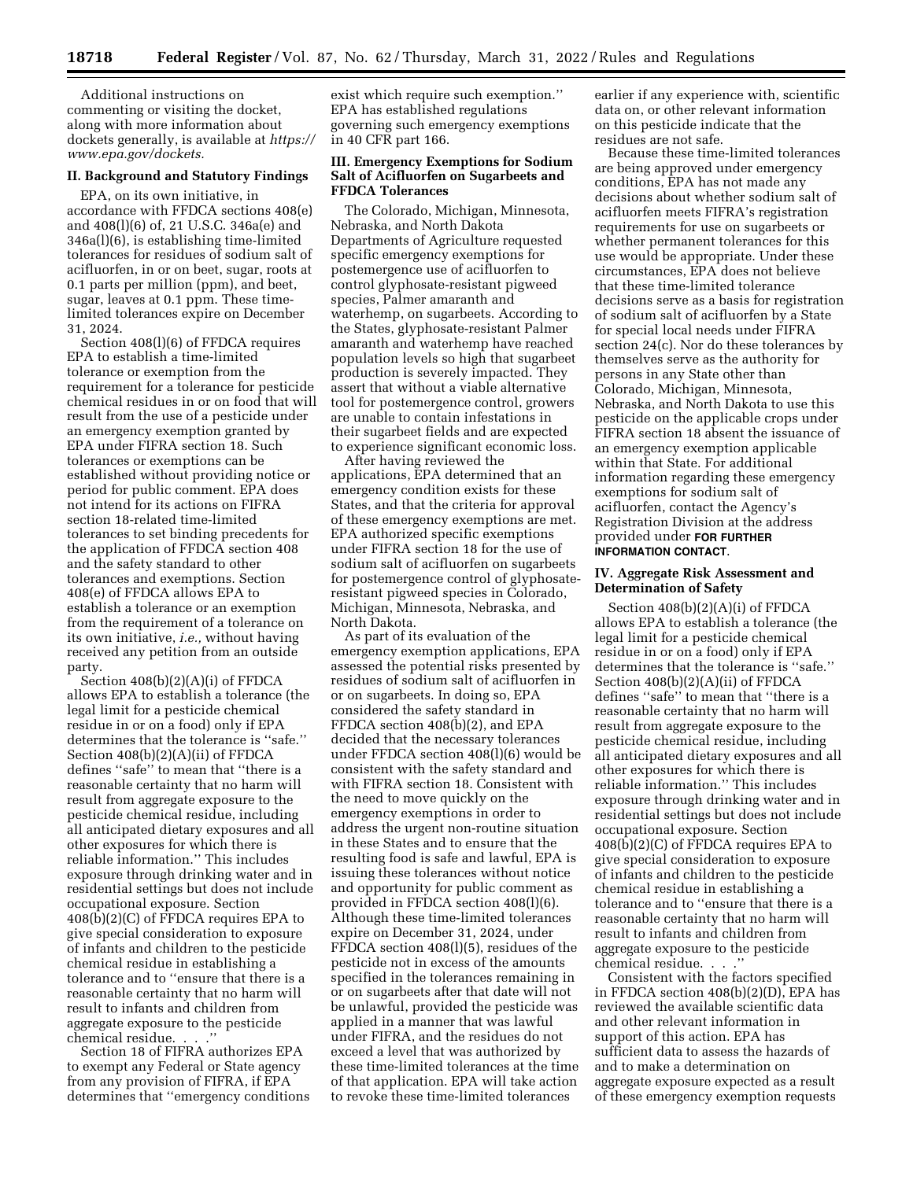Additional instructions on commenting or visiting the docket, along with more information about dockets generally, is available at *[https://](https://www.epa.gov/dockets) [www.epa.gov/dockets.](https://www.epa.gov/dockets)* 

# **II. Background and Statutory Findings**

EPA, on its own initiative, in accordance with FFDCA sections 408(e) and 408(l)(6) of, 21 U.S.C. 346a(e) and 346a(l)(6), is establishing time-limited tolerances for residues of sodium salt of acifluorfen, in or on beet, sugar, roots at 0.1 parts per million (ppm), and beet, sugar, leaves at 0.1 ppm. These timelimited tolerances expire on December 31, 2024.

Section 408(l)(6) of FFDCA requires EPA to establish a time-limited tolerance or exemption from the requirement for a tolerance for pesticide chemical residues in or on food that will result from the use of a pesticide under an emergency exemption granted by EPA under FIFRA section 18. Such tolerances or exemptions can be established without providing notice or period for public comment. EPA does not intend for its actions on FIFRA section 18-related time-limited tolerances to set binding precedents for the application of FFDCA section 408 and the safety standard to other tolerances and exemptions. Section 408(e) of FFDCA allows EPA to establish a tolerance or an exemption from the requirement of a tolerance on its own initiative, *i.e.,* without having received any petition from an outside party.

Section 408(b)(2)(A)(i) of FFDCA allows EPA to establish a tolerance (the legal limit for a pesticide chemical residue in or on a food) only if EPA determines that the tolerance is ''safe.'' Section 408(b)(2)(A)(ii) of FFDCA defines ''safe'' to mean that ''there is a reasonable certainty that no harm will result from aggregate exposure to the pesticide chemical residue, including all anticipated dietary exposures and all other exposures for which there is reliable information.'' This includes exposure through drinking water and in residential settings but does not include occupational exposure. Section 408(b)(2)(C) of FFDCA requires EPA to give special consideration to exposure of infants and children to the pesticide chemical residue in establishing a tolerance and to ''ensure that there is a reasonable certainty that no harm will result to infants and children from aggregate exposure to the pesticide chemical residue. . . .''

Section 18 of FIFRA authorizes EPA to exempt any Federal or State agency from any provision of FIFRA, if EPA determines that ''emergency conditions

exist which require such exemption.'' EPA has established regulations governing such emergency exemptions in 40 CFR part 166.

#### **III. Emergency Exemptions for Sodium Salt of Acifluorfen on Sugarbeets and FFDCA Tolerances**

The Colorado, Michigan, Minnesota, Nebraska, and North Dakota Departments of Agriculture requested specific emergency exemptions for postemergence use of acifluorfen to control glyphosate-resistant pigweed species, Palmer amaranth and waterhemp, on sugarbeets. According to the States, glyphosate-resistant Palmer amaranth and waterhemp have reached population levels so high that sugarbeet production is severely impacted. They assert that without a viable alternative tool for postemergence control, growers are unable to contain infestations in their sugarbeet fields and are expected to experience significant economic loss.

After having reviewed the applications, EPA determined that an emergency condition exists for these States, and that the criteria for approval of these emergency exemptions are met. EPA authorized specific exemptions under FIFRA section 18 for the use of sodium salt of acifluorfen on sugarbeets for postemergence control of glyphosateresistant pigweed species in Colorado, Michigan, Minnesota, Nebraska, and North Dakota.

As part of its evaluation of the emergency exemption applications, EPA assessed the potential risks presented by residues of sodium salt of acifluorfen in or on sugarbeets. In doing so, EPA considered the safety standard in FFDCA section 408(b)(2), and EPA decided that the necessary tolerances under FFDCA section 408(l)(6) would be consistent with the safety standard and with FIFRA section 18. Consistent with the need to move quickly on the emergency exemptions in order to address the urgent non-routine situation in these States and to ensure that the resulting food is safe and lawful, EPA is issuing these tolerances without notice and opportunity for public comment as provided in FFDCA section 408(l)(6). Although these time-limited tolerances expire on December 31, 2024, under FFDCA section 408(l)(5), residues of the pesticide not in excess of the amounts specified in the tolerances remaining in or on sugarbeets after that date will not be unlawful, provided the pesticide was applied in a manner that was lawful under FIFRA, and the residues do not exceed a level that was authorized by these time-limited tolerances at the time of that application. EPA will take action to revoke these time-limited tolerances

earlier if any experience with, scientific data on, or other relevant information on this pesticide indicate that the residues are not safe.

Because these time-limited tolerances are being approved under emergency conditions, EPA has not made any decisions about whether sodium salt of acifluorfen meets FIFRA's registration requirements for use on sugarbeets or whether permanent tolerances for this use would be appropriate. Under these circumstances, EPA does not believe that these time-limited tolerance decisions serve as a basis for registration of sodium salt of acifluorfen by a State for special local needs under FIFRA section 24(c). Nor do these tolerances by themselves serve as the authority for persons in any State other than Colorado, Michigan, Minnesota, Nebraska, and North Dakota to use this pesticide on the applicable crops under FIFRA section 18 absent the issuance of an emergency exemption applicable within that State. For additional information regarding these emergency exemptions for sodium salt of acifluorfen, contact the Agency's Registration Division at the address provided under **FOR FURTHER INFORMATION CONTACT**.

## **IV. Aggregate Risk Assessment and Determination of Safety**

Section 408(b)(2)(A)(i) of FFDCA allows EPA to establish a tolerance (the legal limit for a pesticide chemical residue in or on a food) only if EPA determines that the tolerance is ''safe.'' Section 408(b)(2)(A)(ii) of FFDCA defines ''safe'' to mean that ''there is a reasonable certainty that no harm will result from aggregate exposure to the pesticide chemical residue, including all anticipated dietary exposures and all other exposures for which there is reliable information.'' This includes exposure through drinking water and in residential settings but does not include occupational exposure. Section 408(b)(2)(C) of FFDCA requires EPA to give special consideration to exposure of infants and children to the pesticide chemical residue in establishing a tolerance and to ''ensure that there is a reasonable certainty that no harm will result to infants and children from aggregate exposure to the pesticide chemical residue. . . .''

Consistent with the factors specified in FFDCA section 408(b)(2)(D), EPA has reviewed the available scientific data and other relevant information in support of this action. EPA has sufficient data to assess the hazards of and to make a determination on aggregate exposure expected as a result of these emergency exemption requests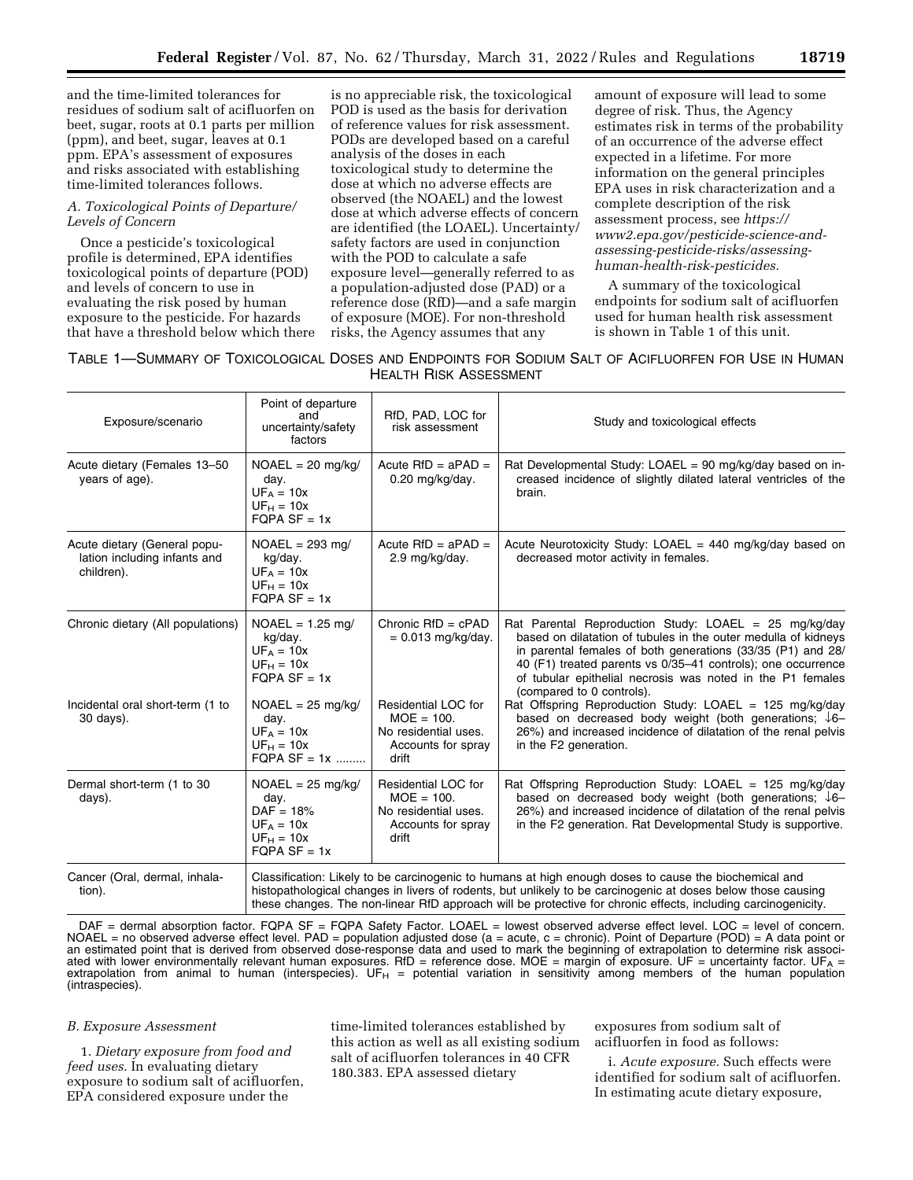and the time-limited tolerances for residues of sodium salt of acifluorfen on beet, sugar, roots at 0.1 parts per million (ppm), and beet, sugar, leaves at 0.1 ppm. EPA's assessment of exposures and risks associated with establishing time-limited tolerances follows.

#### *A. Toxicological Points of Departure/ Levels of Concern*

Once a pesticide's toxicological profile is determined, EPA identifies toxicological points of departure (POD) and levels of concern to use in evaluating the risk posed by human exposure to the pesticide. For hazards that have a threshold below which there

is no appreciable risk, the toxicological POD is used as the basis for derivation of reference values for risk assessment. PODs are developed based on a careful analysis of the doses in each toxicological study to determine the dose at which no adverse effects are observed (the NOAEL) and the lowest dose at which adverse effects of concern are identified (the LOAEL). Uncertainty/ safety factors are used in conjunction with the POD to calculate a safe exposure level—generally referred to as a population-adjusted dose (PAD) or a reference dose (RfD)—and a safe margin of exposure (MOE). For non-threshold risks, the Agency assumes that any

amount of exposure will lead to some degree of risk. Thus, the Agency estimates risk in terms of the probability of an occurrence of the adverse effect expected in a lifetime. For more information on the general principles EPA uses in risk characterization and a complete description of the risk assessment process, see *[https://](https://www2.epa.gov/pesticide-science-and-assessing-pesticide-risks/assessing-human-health-risk-pesticides) [www2.epa.gov/pesticide-science-and](https://www2.epa.gov/pesticide-science-and-assessing-pesticide-risks/assessing-human-health-risk-pesticides)[assessing-pesticide-risks/assessing](https://www2.epa.gov/pesticide-science-and-assessing-pesticide-risks/assessing-human-health-risk-pesticides)[human-health-risk-pesticides.](https://www2.epa.gov/pesticide-science-and-assessing-pesticide-risks/assessing-human-health-risk-pesticides)* 

A summary of the toxicological endpoints for sodium salt of acifluorfen used for human health risk assessment is shown in Table 1 of this unit.

| TABLE 1-SUMMARY OF TOXICOLOGICAL DOSES AND ENDPOINTS FOR SODIUM SALT OF ACIFLUORFEN FOR USE IN HUMAN |  |  |  |  |  |  |  |  |
|------------------------------------------------------------------------------------------------------|--|--|--|--|--|--|--|--|
| <b>HEALTH RISK ASSESSMENT</b>                                                                        |  |  |  |  |  |  |  |  |

| Exposure/scenario                                                          | Point of departure<br>and<br>uncertainty/safety<br>factors                                                                                                                                                                                                                                                                             | RfD, PAD, LOC for<br>risk assessment                                                       | Study and toxicological effects                                                                                                                                                                                                                                                                                                                             |  |  |
|----------------------------------------------------------------------------|----------------------------------------------------------------------------------------------------------------------------------------------------------------------------------------------------------------------------------------------------------------------------------------------------------------------------------------|--------------------------------------------------------------------------------------------|-------------------------------------------------------------------------------------------------------------------------------------------------------------------------------------------------------------------------------------------------------------------------------------------------------------------------------------------------------------|--|--|
| Acute dietary (Females 13-50<br>years of age).                             | $NOAEL = 20$ mg/kg/<br>day.<br>$UF_A = 10x$<br>$UF_H = 10x$<br>$FQPA SF = 1x$                                                                                                                                                                                                                                                          | Acute $RfD = aPAD =$<br>$0.20$ mg/kg/day.                                                  | Rat Developmental Study: LOAEL = 90 mg/kg/day based on in-<br>creased incidence of slightly dilated lateral ventricles of the<br>brain.                                                                                                                                                                                                                     |  |  |
| Acute dietary (General popu-<br>lation including infants and<br>children). | $NOAEL = 293$ mg/<br>kg/day.<br>$UF_A = 10x$<br>$UF_H = 10x$<br>$FQPA SF = 1x$                                                                                                                                                                                                                                                         | Acute $RfD = aPAD =$<br>2.9 mg/kg/day.                                                     | Acute Neurotoxicity Study: LOAEL = $440 \text{ mg/kg/day}$ based on<br>decreased motor activity in females.                                                                                                                                                                                                                                                 |  |  |
| Chronic dietary (All populations)                                          | $NOAEL = 1.25$ mg/<br>kg/day.<br>$UF_A = 10x$<br>$UF_H = 10x$<br>$FQPA SF = 1x$                                                                                                                                                                                                                                                        | Chronic $RfD = cPAD$<br>$= 0.013$ mg/kg/day.                                               | Rat Parental Reproduction Study: LOAEL = $25 \text{ mg/kg/day}$<br>based on dilatation of tubules in the outer medulla of kidneys<br>in parental females of both generations (33/35 (P1) and 28/<br>40 (F1) treated parents vs 0/35-41 controls); one occurrence<br>of tubular epithelial necrosis was noted in the P1 females<br>(compared to 0 controls). |  |  |
| Incidental oral short-term (1 to<br>30 days).                              | $NOAEL = 25$ mg/kg/<br>day.<br>$UF_A = 10x$<br>$UF_H = 10x$<br>$FOPA SF = 1x$                                                                                                                                                                                                                                                          | Residential LOC for<br>$MOE = 100.$<br>No residential uses.<br>Accounts for spray<br>drift | Rat Offspring Reproduction Study: LOAEL = $125 \text{ mg/kg/day}$<br>based on decreased body weight (both generations; $\sqrt{6}$ -<br>26%) and increased incidence of dilatation of the renal pelvis<br>in the F2 generation.                                                                                                                              |  |  |
| Dermal short-term (1 to 30<br>days).                                       | $NOAEL = 25$ mg/kg/<br>day.<br>$DAF = 18%$<br>$UFA = 10x$<br>$UF_H = 10x$<br>$FQPA SF = 1x$                                                                                                                                                                                                                                            | Residential LOC for<br>$MOE = 100.$<br>No residential uses.<br>Accounts for spray<br>drift | Rat Offspring Reproduction Study: LOAEL = $125 \text{ mg/kg/day}$<br>based on decreased body weight (both generations; ↓6-<br>26%) and increased incidence of dilatation of the renal pelvis<br>in the F2 generation. Rat Developmental Study is supportive.                                                                                                |  |  |
| Cancer (Oral, dermal, inhala-<br>tion).                                    | Classification: Likely to be carcinogenic to humans at high enough doses to cause the biochemical and<br>histopathological changes in livers of rodents, but unlikely to be carcinogenic at doses below those causing<br>these changes. The non-linear RfD approach will be protective for chronic effects, including carcinogenicity. |                                                                                            |                                                                                                                                                                                                                                                                                                                                                             |  |  |

DAF = dermal absorption factor. FQPA SF = FQPA Safety Factor. LOAEL = lowest observed adverse effect level. LOC = level of concern. NOAEL = no observed adverse effect level. PAD = population adjusted dose (a = acute, c = chronic). Point of Departure (POD) = A data point or an estimated point that is derived from observed dose-response data and used to mark the beginning of extrapolation to determine risk associated with lower environmentally relevant human exposures. RfD = reference dose. MOE = margin of exposure. UF = uncertainty factor. UF<sub>A</sub> = extrapolation from animal to human (interspecies). UF $<sub>H</sub>$  = potential variation in sensitivity among members of the human population</sub> (intraspecies).

#### *B. Exposure Assessment*

1. *Dietary exposure from food and feed uses.* In evaluating dietary exposure to sodium salt of acifluorfen, EPA considered exposure under the

time-limited tolerances established by this action as well as all existing sodium salt of acifluorfen tolerances in 40 CFR 180.383. EPA assessed dietary

exposures from sodium salt of acifluorfen in food as follows:

i. *Acute exposure.* Such effects were identified for sodium salt of acifluorfen. In estimating acute dietary exposure,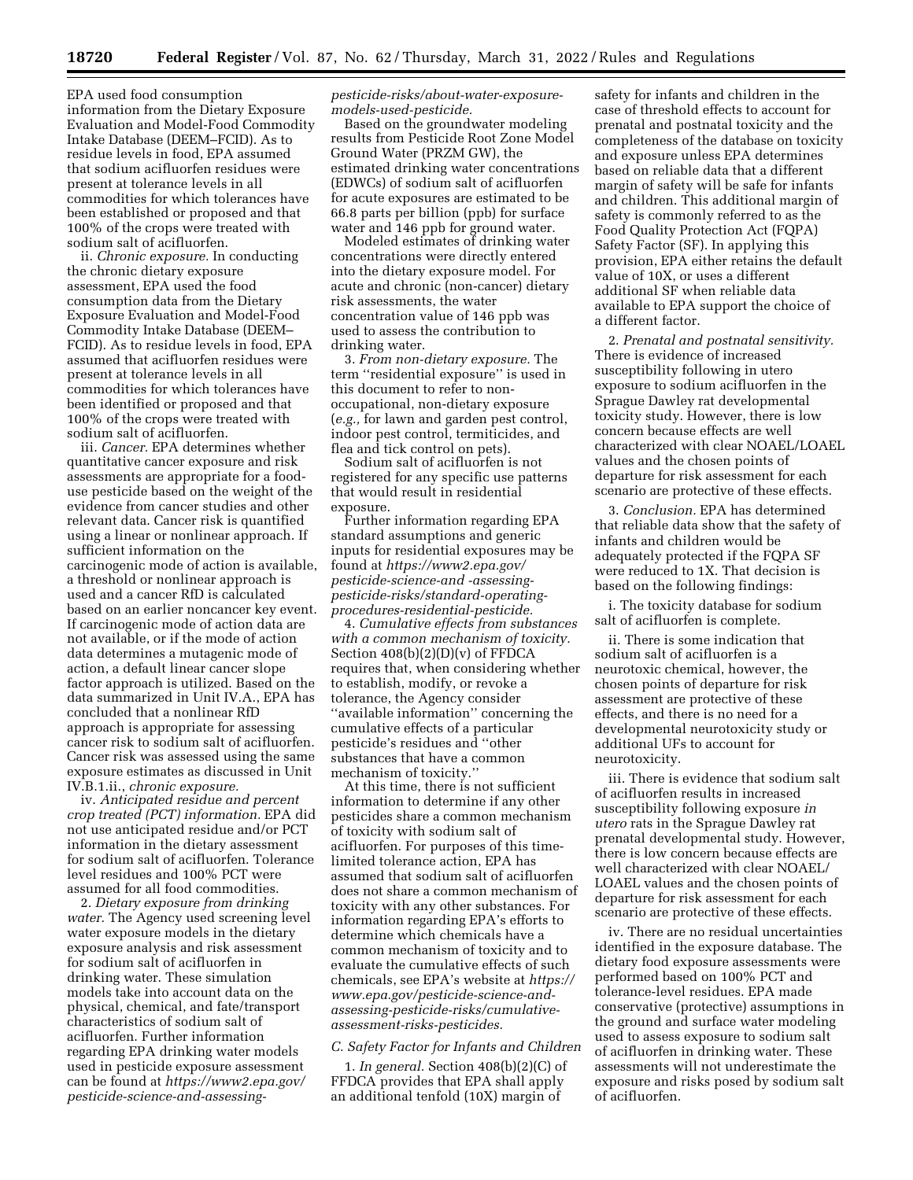EPA used food consumption information from the Dietary Exposure Evaluation and Model-Food Commodity Intake Database (DEEM–FCID). As to residue levels in food, EPA assumed that sodium acifluorfen residues were present at tolerance levels in all commodities for which tolerances have been established or proposed and that 100% of the crops were treated with sodium salt of acifluorfen.

ii. *Chronic exposure.* In conducting the chronic dietary exposure assessment, EPA used the food consumption data from the Dietary Exposure Evaluation and Model-Food Commodity Intake Database (DEEM– FCID). As to residue levels in food, EPA assumed that acifluorfen residues were present at tolerance levels in all commodities for which tolerances have been identified or proposed and that 100% of the crops were treated with sodium salt of acifluorfen.

iii. *Cancer.* EPA determines whether quantitative cancer exposure and risk assessments are appropriate for a fooduse pesticide based on the weight of the evidence from cancer studies and other relevant data. Cancer risk is quantified using a linear or nonlinear approach. If sufficient information on the carcinogenic mode of action is available, a threshold or nonlinear approach is used and a cancer RfD is calculated based on an earlier noncancer key event. If carcinogenic mode of action data are not available, or if the mode of action data determines a mutagenic mode of action, a default linear cancer slope factor approach is utilized. Based on the data summarized in Unit IV.A., EPA has concluded that a nonlinear RfD approach is appropriate for assessing cancer risk to sodium salt of acifluorfen. Cancer risk was assessed using the same exposure estimates as discussed in Unit IV.B.1.ii., *chronic exposure.* 

iv. *Anticipated residue and percent crop treated (PCT) information.* EPA did not use anticipated residue and/or PCT information in the dietary assessment for sodium salt of acifluorfen. Tolerance level residues and 100% PCT were assumed for all food commodities.

2. *Dietary exposure from drinking water.* The Agency used screening level water exposure models in the dietary exposure analysis and risk assessment for sodium salt of acifluorfen in drinking water. These simulation models take into account data on the physical, chemical, and fate/transport characteristics of sodium salt of acifluorfen. Further information regarding EPA drinking water models used in pesticide exposure assessment can be found at *[https://www2.epa.gov/](https://www2.epa.gov/pesticide-science-and-assessing-pesticide-risks/about-water-exposure-models-used-pesticide)  [pesticide-science-and-assessing-](https://www2.epa.gov/pesticide-science-and-assessing-pesticide-risks/about-water-exposure-models-used-pesticide)* *[pesticide-risks/about-water-exposure](https://www2.epa.gov/pesticide-science-and-assessing-pesticide-risks/about-water-exposure-models-used-pesticide)[models-used-pesticide.](https://www2.epa.gov/pesticide-science-and-assessing-pesticide-risks/about-water-exposure-models-used-pesticide)* 

Based on the groundwater modeling results from Pesticide Root Zone Model Ground Water (PRZM GW), the estimated drinking water concentrations (EDWCs) of sodium salt of acifluorfen for acute exposures are estimated to be 66.8 parts per billion (ppb) for surface water and 146 ppb for ground water.

Modeled estimates of drinking water concentrations were directly entered into the dietary exposure model. For acute and chronic (non-cancer) dietary risk assessments, the water concentration value of 146 ppb was used to assess the contribution to drinking water.

3. *From non-dietary exposure.* The term ''residential exposure'' is used in this document to refer to nonoccupational, non-dietary exposure (*e.g.,* for lawn and garden pest control, indoor pest control, termiticides, and flea and tick control on pets).

Sodium salt of acifluorfen is not registered for any specific use patterns that would result in residential exposure.

Further information regarding EPA standard assumptions and generic inputs for residential exposures may be found at *[https://www2.epa.gov/](https://www2.epa.gov/pesticide-science-and-assessing-pesticide-risks/standard-operating-procedures-residential-pesticide)  [pesticide-science-and -assessing](https://www2.epa.gov/pesticide-science-and-assessing-pesticide-risks/standard-operating-procedures-residential-pesticide)[pesticide-risks/standard-operating](https://www2.epa.gov/pesticide-science-and-assessing-pesticide-risks/standard-operating-procedures-residential-pesticide)[procedures-residential-pesticide.](https://www2.epa.gov/pesticide-science-and-assessing-pesticide-risks/standard-operating-procedures-residential-pesticide)* 

4. *Cumulative effects from substances with a common mechanism of toxicity.*  Section 408(b)(2)(D)(v) of FFDCA requires that, when considering whether to establish, modify, or revoke a tolerance, the Agency consider ''available information'' concerning the cumulative effects of a particular pesticide's residues and ''other substances that have a common mechanism of toxicity.''

At this time, there is not sufficient information to determine if any other pesticides share a common mechanism of toxicity with sodium salt of acifluorfen. For purposes of this timelimited tolerance action, EPA has assumed that sodium salt of acifluorfen does not share a common mechanism of toxicity with any other substances. For information regarding EPA's efforts to determine which chemicals have a common mechanism of toxicity and to evaluate the cumulative effects of such chemicals, see EPA's website at *[https://](https://www.epa.gov/pesticide-science-and-assessing-pesticide-risks/cumulative-assessment-risks-pesticides)  [www.epa.gov/pesticide-science-and](https://www.epa.gov/pesticide-science-and-assessing-pesticide-risks/cumulative-assessment-risks-pesticides)[assessing-pesticide-risks/cumulative](https://www.epa.gov/pesticide-science-and-assessing-pesticide-risks/cumulative-assessment-risks-pesticides)[assessment-risks-pesticides.](https://www.epa.gov/pesticide-science-and-assessing-pesticide-risks/cumulative-assessment-risks-pesticides)* 

# *C. Safety Factor for Infants and Children*

1. *In general.* Section 408(b)(2)(C) of FFDCA provides that EPA shall apply an additional tenfold (10X) margin of

safety for infants and children in the case of threshold effects to account for prenatal and postnatal toxicity and the completeness of the database on toxicity and exposure unless EPA determines based on reliable data that a different margin of safety will be safe for infants and children. This additional margin of safety is commonly referred to as the Food Quality Protection Act (FQPA) Safety Factor (SF). In applying this provision, EPA either retains the default value of 10X, or uses a different additional SF when reliable data available to EPA support the choice of a different factor.

2. *Prenatal and postnatal sensitivity.*  There is evidence of increased susceptibility following in utero exposure to sodium acifluorfen in the Sprague Dawley rat developmental toxicity study. However, there is low concern because effects are well characterized with clear NOAEL/LOAEL values and the chosen points of departure for risk assessment for each scenario are protective of these effects.

3. *Conclusion.* EPA has determined that reliable data show that the safety of infants and children would be adequately protected if the FQPA SF were reduced to 1X. That decision is based on the following findings:

i. The toxicity database for sodium salt of acifluorfen is complete.

ii. There is some indication that sodium salt of acifluorfen is a neurotoxic chemical, however, the chosen points of departure for risk assessment are protective of these effects, and there is no need for a developmental neurotoxicity study or additional UFs to account for neurotoxicity.

iii. There is evidence that sodium salt of acifluorfen results in increased susceptibility following exposure *in utero* rats in the Sprague Dawley rat prenatal developmental study. However, there is low concern because effects are well characterized with clear NOAEL/ LOAEL values and the chosen points of departure for risk assessment for each scenario are protective of these effects.

iv. There are no residual uncertainties identified in the exposure database. The dietary food exposure assessments were performed based on 100% PCT and tolerance-level residues. EPA made conservative (protective) assumptions in the ground and surface water modeling used to assess exposure to sodium salt of acifluorfen in drinking water. These assessments will not underestimate the exposure and risks posed by sodium salt of acifluorfen.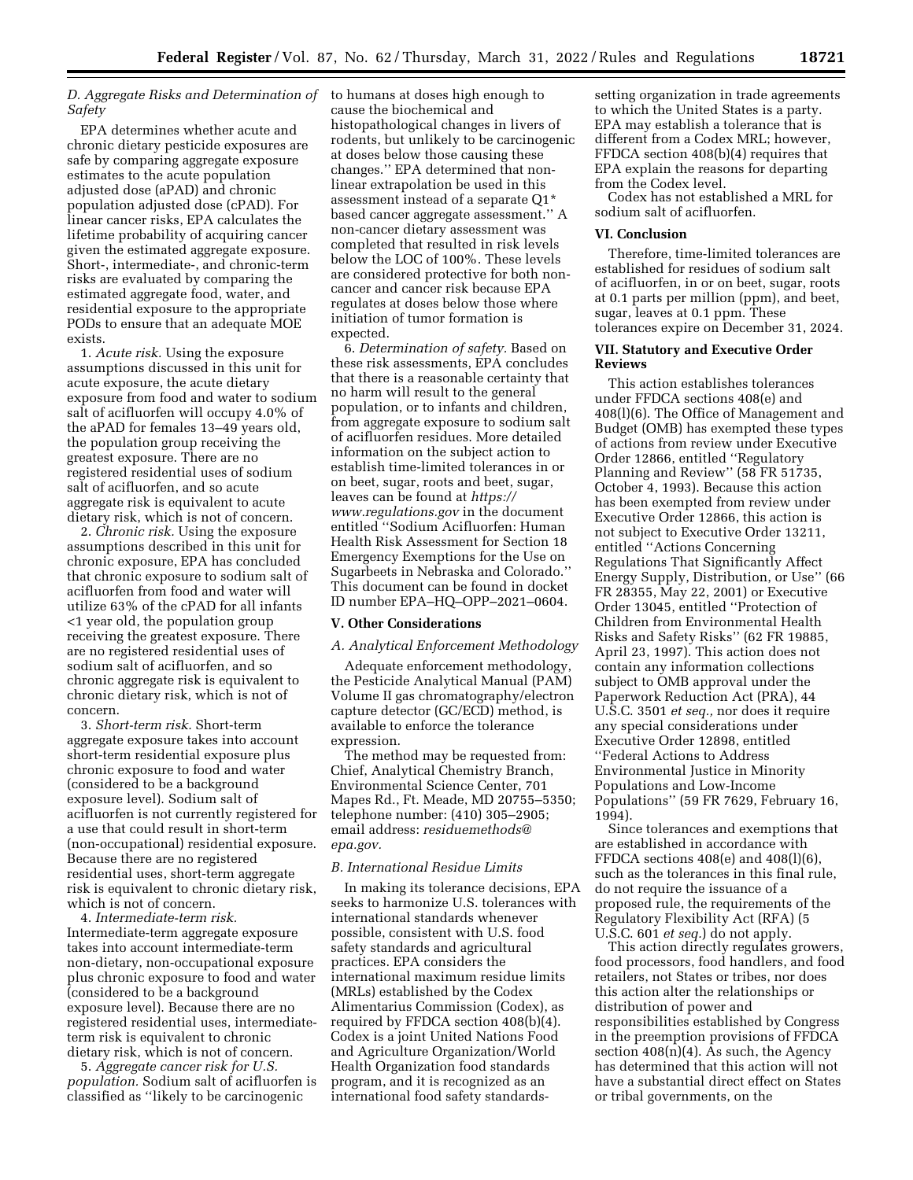#### *D. Aggregate Risks and Determination of*  to humans at doses high enough to *Safety*

EPA determines whether acute and chronic dietary pesticide exposures are safe by comparing aggregate exposure estimates to the acute population adjusted dose (aPAD) and chronic population adjusted dose (cPAD). For linear cancer risks, EPA calculates the lifetime probability of acquiring cancer given the estimated aggregate exposure. Short-, intermediate-, and chronic-term risks are evaluated by comparing the estimated aggregate food, water, and residential exposure to the appropriate PODs to ensure that an adequate MOE exists.

1. *Acute risk.* Using the exposure assumptions discussed in this unit for acute exposure, the acute dietary exposure from food and water to sodium salt of acifluorfen will occupy 4.0% of the aPAD for females 13–49 years old, the population group receiving the greatest exposure. There are no registered residential uses of sodium salt of acifluorfen, and so acute aggregate risk is equivalent to acute dietary risk, which is not of concern.

2. *Chronic risk.* Using the exposure assumptions described in this unit for chronic exposure, EPA has concluded that chronic exposure to sodium salt of acifluorfen from food and water will utilize 63% of the cPAD for all infants <1 year old, the population group receiving the greatest exposure. There are no registered residential uses of sodium salt of acifluorfen, and so chronic aggregate risk is equivalent to chronic dietary risk, which is not of concern.

3. *Short-term risk.* Short-term aggregate exposure takes into account short-term residential exposure plus chronic exposure to food and water (considered to be a background exposure level). Sodium salt of acifluorfen is not currently registered for a use that could result in short-term (non-occupational) residential exposure. Because there are no registered residential uses, short-term aggregate risk is equivalent to chronic dietary risk, which is not of concern.

4. *Intermediate-term risk.*  Intermediate-term aggregate exposure takes into account intermediate-term non-dietary, non-occupational exposure plus chronic exposure to food and water (considered to be a background exposure level). Because there are no registered residential uses, intermediateterm risk is equivalent to chronic dietary risk, which is not of concern.

5. *Aggregate cancer risk for U.S. population.* Sodium salt of acifluorfen is classified as ''likely to be carcinogenic

cause the biochemical and histopathological changes in livers of rodents, but unlikely to be carcinogenic at doses below those causing these changes.'' EPA determined that nonlinear extrapolation be used in this assessment instead of a separate Q1\* based cancer aggregate assessment.'' A non-cancer dietary assessment was completed that resulted in risk levels below the LOC of 100%. These levels are considered protective for both noncancer and cancer risk because EPA regulates at doses below those where initiation of tumor formation is expected.

6. *Determination of safety.* Based on these risk assessments, EPA concludes that there is a reasonable certainty that no harm will result to the general population, or to infants and children, from aggregate exposure to sodium salt of acifluorfen residues. More detailed information on the subject action to establish time-limited tolerances in or on beet, sugar, roots and beet, sugar, leaves can be found at *[https://](https://www.regulations.gov) [www.regulations.gov](https://www.regulations.gov)* in the document entitled ''Sodium Acifluorfen: Human Health Risk Assessment for Section 18 Emergency Exemptions for the Use on Sugarbeets in Nebraska and Colorado.'' This document can be found in docket ID number EPA–HQ–OPP–2021–0604.

#### **V. Other Considerations**

## *A. Analytical Enforcement Methodology*

Adequate enforcement methodology, the Pesticide Analytical Manual (PAM) Volume II gas chromatography/electron capture detector (GC/ECD) method, is available to enforce the tolerance expression.

The method may be requested from: Chief, Analytical Chemistry Branch, Environmental Science Center, 701 Mapes Rd., Ft. Meade, MD 20755–5350; telephone number: (410) 305–2905; email address: *[residuemethods@](mailto:residuemethods@epa.gov) [epa.gov.](mailto:residuemethods@epa.gov)* 

#### *B. International Residue Limits*

In making its tolerance decisions, EPA seeks to harmonize U.S. tolerances with international standards whenever possible, consistent with U.S. food safety standards and agricultural practices. EPA considers the international maximum residue limits (MRLs) established by the Codex Alimentarius Commission (Codex), as required by FFDCA section 408(b)(4). Codex is a joint United Nations Food and Agriculture Organization/World Health Organization food standards program, and it is recognized as an international food safety standardssetting organization in trade agreements to which the United States is a party. EPA may establish a tolerance that is different from a Codex MRL; however, FFDCA section 408(b)(4) requires that EPA explain the reasons for departing from the Codex level.

Codex has not established a MRL for sodium salt of acifluorfen.

#### **VI. Conclusion**

Therefore, time-limited tolerances are established for residues of sodium salt of acifluorfen, in or on beet, sugar, roots at 0.1 parts per million (ppm), and beet, sugar, leaves at 0.1 ppm. These tolerances expire on December 31, 2024.

### **VII. Statutory and Executive Order Reviews**

This action establishes tolerances under FFDCA sections 408(e) and 408(l)(6). The Office of Management and Budget (OMB) has exempted these types of actions from review under Executive Order 12866, entitled ''Regulatory Planning and Review'' (58 FR 51735, October 4, 1993). Because this action has been exempted from review under Executive Order 12866, this action is not subject to Executive Order 13211, entitled ''Actions Concerning Regulations That Significantly Affect Energy Supply, Distribution, or Use'' (66 FR 28355, May 22, 2001) or Executive Order 13045, entitled ''Protection of Children from Environmental Health Risks and Safety Risks'' (62 FR 19885, April 23, 1997). This action does not contain any information collections subject to OMB approval under the Paperwork Reduction Act (PRA), 44 U.S.C. 3501 *et seq.,* nor does it require any special considerations under Executive Order 12898, entitled ''Federal Actions to Address Environmental Justice in Minority Populations and Low-Income Populations'' (59 FR 7629, February 16, 1994).

Since tolerances and exemptions that are established in accordance with FFDCA sections 408(e) and 408(l)(6), such as the tolerances in this final rule, do not require the issuance of a proposed rule, the requirements of the Regulatory Flexibility Act (RFA) (5 U.S.C. 601 *et seq.*) do not apply.

This action directly regulates growers, food processors, food handlers, and food retailers, not States or tribes, nor does this action alter the relationships or distribution of power and responsibilities established by Congress in the preemption provisions of FFDCA section 408(n)(4). As such, the Agency has determined that this action will not have a substantial direct effect on States or tribal governments, on the